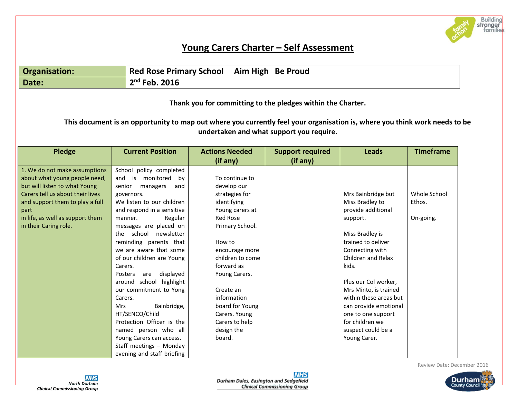

## **Young Carers Charter – Self Assessment**

| Organisation: | Red Rose Primary School Aim High Be Proud |
|---------------|-------------------------------------------|
| Date:         | $2nd$ Feb. 2016                           |

**Thank you for committing to the pledges within the Charter.** 

**This document is an opportunity to map out where you currently feel your organisation is, where you think work needs to be undertaken and what support you require.**

| <b>Pledge</b>                    | <b>Current Position</b>      | <b>Actions Needed</b> | <b>Support required</b> | <b>Leads</b>           | <b>Timeframe</b> |
|----------------------------------|------------------------------|-----------------------|-------------------------|------------------------|------------------|
|                                  |                              | (if any)              | (if any)                |                        |                  |
| 1. We do not make assumptions    | School policy completed      |                       |                         |                        |                  |
| about what young people need,    | and<br>is<br>monitored<br>bv | To continue to        |                         |                        |                  |
| but will listen to what Young    | senior<br>managers<br>and    | develop our           |                         |                        |                  |
| Carers tell us about their lives | governors.                   | strategies for        |                         | Mrs Bainbridge but     | Whole School     |
| and support them to play a full  | We listen to our children    | identifying           |                         | Miss Bradley to        | Ethos.           |
| part                             | and respond in a sensitive   | Young carers at       |                         | provide additional     |                  |
| in life, as well as support them | Regular<br>manner.           | Red Rose              |                         | support.               | On-going.        |
| in their Caring role.            | messages are placed on       | Primary School.       |                         |                        |                  |
|                                  | the school newsletter        |                       |                         | Miss Bradley is        |                  |
|                                  | reminding parents that       | How to                |                         | trained to deliver     |                  |
|                                  | we are aware that some       | encourage more        |                         | Connecting with        |                  |
|                                  | of our children are Young    | children to come      |                         | Children and Relax     |                  |
|                                  | Carers.                      | forward as            |                         | kids.                  |                  |
|                                  | displayed<br>Posters<br>are  | Young Carers.         |                         |                        |                  |
|                                  | around school highlight      |                       |                         | Plus our Col worker,   |                  |
|                                  | our commitment to Yong       | Create an             |                         | Mrs Minto, is trained  |                  |
|                                  | Carers.                      | information           |                         | within these areas but |                  |
|                                  | Bainbridge,<br>Mrs           | board for Young       |                         | can provide emotional  |                  |
|                                  | HT/SENCO/Child               | Carers. Young         |                         | one to one support     |                  |
|                                  | Protection Officer is the    | Carers to help        |                         | for children we        |                  |
|                                  | named person who all         | design the            |                         | suspect could be a     |                  |
|                                  | Young Carers can access.     | board.                |                         | Young Carer.           |                  |
|                                  | Staff meetings - Monday      |                       |                         |                        |                  |
|                                  | evening and staff briefing   |                       |                         |                        |                  |

Review Date: December 2016



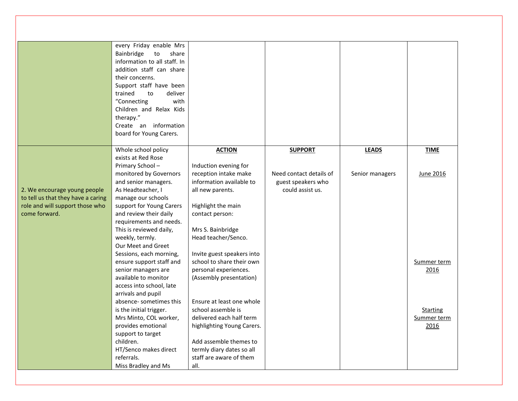|                                    | every Friday enable Mrs        |                            |                         |                 |                 |
|------------------------------------|--------------------------------|----------------------------|-------------------------|-----------------|-----------------|
|                                    | Bainbridge<br>share<br>to      |                            |                         |                 |                 |
|                                    | information to all staff. In   |                            |                         |                 |                 |
|                                    | addition staff can share       |                            |                         |                 |                 |
|                                    | their concerns.                |                            |                         |                 |                 |
|                                    | Support staff have been        |                            |                         |                 |                 |
|                                    | deliver<br>trained<br>to       |                            |                         |                 |                 |
|                                    | "Connecting<br>with            |                            |                         |                 |                 |
|                                    | Children and Relax Kids        |                            |                         |                 |                 |
|                                    | therapy."                      |                            |                         |                 |                 |
|                                    | Create an information          |                            |                         |                 |                 |
|                                    | board for Young Carers.        |                            |                         |                 |                 |
|                                    |                                |                            |                         |                 |                 |
|                                    | Whole school policy            | <b>ACTION</b>              | <b>SUPPORT</b>          | <b>LEADS</b>    | <b>TIME</b>     |
|                                    | exists at Red Rose             |                            |                         |                 |                 |
|                                    | Primary School-                | Induction evening for      |                         |                 |                 |
|                                    | monitored by Governors         | reception intake make      | Need contact details of | Senior managers | June 2016       |
|                                    | and senior managers.           | information available to   | guest speakers who      |                 |                 |
| 2. We encourage young people       | As Headteacher, I              | all new parents.           | could assist us.        |                 |                 |
| to tell us that they have a caring | manage our schools             |                            |                         |                 |                 |
| role and will support those who    | support for Young Carers       | Highlight the main         |                         |                 |                 |
| come forward.                      | and review their daily         | contact person:            |                         |                 |                 |
|                                    | requirements and needs.        |                            |                         |                 |                 |
|                                    | This is reviewed daily,        | Mrs S. Bainbridge          |                         |                 |                 |
|                                    | weekly, termly.                | Head teacher/Senco.        |                         |                 |                 |
|                                    | Our Meet and Greet             |                            |                         |                 |                 |
|                                    | Sessions, each morning,        | Invite guest speakers into |                         |                 |                 |
|                                    | ensure support staff and       | school to share their own  |                         |                 | Summer term     |
|                                    | senior managers are            | personal experiences.      |                         |                 | 2016            |
|                                    | available to monitor           | (Assembly presentation)    |                         |                 |                 |
|                                    | access into school, late       |                            |                         |                 |                 |
|                                    | arrivals and pupil             |                            |                         |                 |                 |
|                                    | absence-sometimes this         | Ensure at least one whole  |                         |                 |                 |
|                                    | is the initial trigger.        | school assemble is         |                         |                 | <b>Starting</b> |
|                                    | Mrs Minto, COL worker,         | delivered each half term   |                         |                 | Summer term     |
|                                    | provides emotional             | highlighting Young Carers. |                         |                 | 2016            |
|                                    | support to target<br>children. | Add assemble themes to     |                         |                 |                 |
|                                    | HT/Senco makes direct          | termly diary dates so all  |                         |                 |                 |
|                                    | referrals.                     | staff are aware of them    |                         |                 |                 |
|                                    |                                | all.                       |                         |                 |                 |
|                                    | Miss Bradley and Ms            |                            |                         |                 |                 |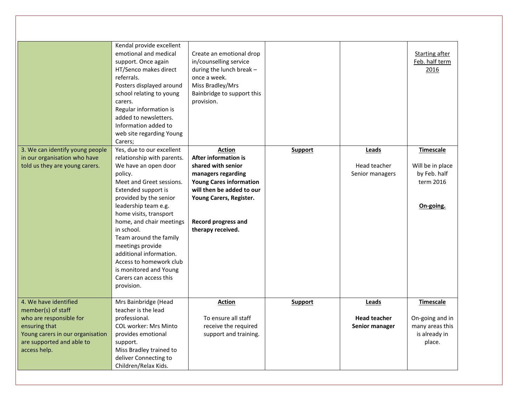| 3. We can identify young people<br>in our organisation who have<br>told us they are young carers. | Kendal provide excellent<br>emotional and medical<br>support. Once again<br>HT/Senco makes direct<br>referrals.<br>Posters displayed around<br>school relating to young<br>carers.<br>Regular information is<br>added to newsletters.<br>Information added to<br>web site regarding Young<br>Carers;<br>Yes, due to our excellent<br>relationship with parents.<br>We have an open door<br>policy.<br>Meet and Greet sessions.<br>Extended support is<br>provided by the senior<br>leadership team e.g.<br>home visits, transport<br>home, and chair meetings<br>in school.<br>Team around the family<br>meetings provide<br>additional information.<br>Access to homework club<br>is monitored and Young<br>Carers can access this<br>provision. | Create an emotional drop<br>in/counselling service<br>during the lunch break -<br>once a week.<br>Miss Bradley/Mrs<br>Bainbridge to support this<br>provision.<br><b>Action</b><br><b>After information is</b><br>shared with senior<br>managers regarding<br><b>Young Cares information</b><br>will then be added to our<br>Young Carers, Register.<br><b>Record progress and</b><br>therapy received. | <b>Support</b> | Leads<br>Head teacher<br>Senior managers | Starting after<br>Feb. half term<br>2016<br>Timescale<br>Will be in place<br>by Feb. half<br>term 2016<br>On-going. |
|---------------------------------------------------------------------------------------------------|---------------------------------------------------------------------------------------------------------------------------------------------------------------------------------------------------------------------------------------------------------------------------------------------------------------------------------------------------------------------------------------------------------------------------------------------------------------------------------------------------------------------------------------------------------------------------------------------------------------------------------------------------------------------------------------------------------------------------------------------------|---------------------------------------------------------------------------------------------------------------------------------------------------------------------------------------------------------------------------------------------------------------------------------------------------------------------------------------------------------------------------------------------------------|----------------|------------------------------------------|---------------------------------------------------------------------------------------------------------------------|
| 4. We have identified<br>member(s) of staff                                                       | Mrs Bainbridge (Head<br>teacher is the lead                                                                                                                                                                                                                                                                                                                                                                                                                                                                                                                                                                                                                                                                                                       | <b>Action</b>                                                                                                                                                                                                                                                                                                                                                                                           | Support        | Leads                                    | <b>Timescale</b>                                                                                                    |
| who are responsible for                                                                           | professional.                                                                                                                                                                                                                                                                                                                                                                                                                                                                                                                                                                                                                                                                                                                                     | To ensure all staff                                                                                                                                                                                                                                                                                                                                                                                     |                | <b>Head teacher</b>                      | On-going and in                                                                                                     |
| ensuring that                                                                                     | <b>COL worker: Mrs Minto</b>                                                                                                                                                                                                                                                                                                                                                                                                                                                                                                                                                                                                                                                                                                                      | receive the required                                                                                                                                                                                                                                                                                                                                                                                    |                | Senior manager                           | many areas this                                                                                                     |
| Young carers in our organisation                                                                  | provides emotional                                                                                                                                                                                                                                                                                                                                                                                                                                                                                                                                                                                                                                                                                                                                | support and training.                                                                                                                                                                                                                                                                                                                                                                                   |                |                                          | is already in                                                                                                       |
| are supported and able to                                                                         | support.                                                                                                                                                                                                                                                                                                                                                                                                                                                                                                                                                                                                                                                                                                                                          |                                                                                                                                                                                                                                                                                                                                                                                                         |                |                                          | place.                                                                                                              |
| access help.                                                                                      | Miss Bradley trained to<br>deliver Connecting to                                                                                                                                                                                                                                                                                                                                                                                                                                                                                                                                                                                                                                                                                                  |                                                                                                                                                                                                                                                                                                                                                                                                         |                |                                          |                                                                                                                     |
|                                                                                                   | Children/Relax Kids.                                                                                                                                                                                                                                                                                                                                                                                                                                                                                                                                                                                                                                                                                                                              |                                                                                                                                                                                                                                                                                                                                                                                                         |                |                                          |                                                                                                                     |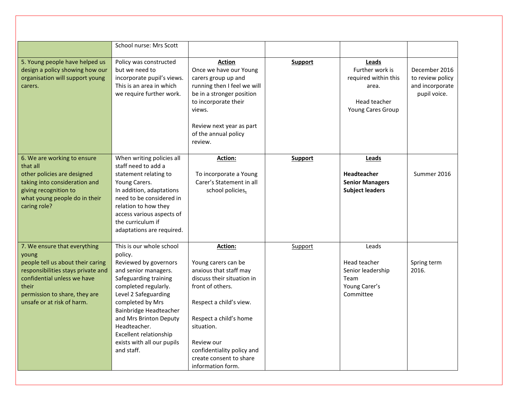|                                                                                                                                                                                                                         | School nurse: Mrs Scott                                                                                                                                                                                                                                                                                                     |                                                                                                                                                                                                                                                                           |                |                                                                                                |                                                                      |
|-------------------------------------------------------------------------------------------------------------------------------------------------------------------------------------------------------------------------|-----------------------------------------------------------------------------------------------------------------------------------------------------------------------------------------------------------------------------------------------------------------------------------------------------------------------------|---------------------------------------------------------------------------------------------------------------------------------------------------------------------------------------------------------------------------------------------------------------------------|----------------|------------------------------------------------------------------------------------------------|----------------------------------------------------------------------|
| 5. Young people have helped us<br>design a policy showing how our<br>organisation will support young<br>carers.                                                                                                         | Policy was constructed<br>but we need to<br>incorporate pupil's views.<br>This is an area in which<br>we require further work.                                                                                                                                                                                              | Action<br>Once we have our Young<br>carers group up and<br>running then I feel we will<br>be in a stronger position<br>to incorporate their<br>views.<br>Review next year as part<br>of the annual policy<br>review.                                                      | <b>Support</b> | Leads<br>Further work is<br>required within this<br>area.<br>Head teacher<br>Young Cares Group | December 2016<br>to review policy<br>and incorporate<br>pupil voice. |
| 6. We are working to ensure<br>that all<br>other policies are designed<br>taking into consideration and<br>giving recognition to<br>what young people do in their<br>caring role?                                       | When writing policies all<br>staff need to add a<br>statement relating to<br>Young Carers.<br>In addition, adaptations<br>need to be considered in<br>relation to how they<br>access various aspects of<br>the curriculum if<br>adaptations are required.                                                                   | Action:<br>To incorporate a Young<br>Carer's Statement in all<br>school policies.                                                                                                                                                                                         | <b>Support</b> | Leads<br><b>Headteacher</b><br><b>Senior Managers</b><br><b>Subject leaders</b>                | Summer 2016                                                          |
| 7. We ensure that everything<br>young<br>people tell us about their caring<br>responsibilities stays private and<br>confidential unless we have<br>their<br>permission to share, they are<br>unsafe or at risk of harm. | This is our whole school<br>policy.<br>Reviewed by governors<br>and senior managers.<br>Safeguarding training<br>completed regularly.<br>Level 2 Safeguarding<br>completed by Mrs<br>Bainbridge Headteacher<br>and Mrs Brinton Deputy<br>Headteacher.<br>Excellent relationship<br>exists with all our pupils<br>and staff. | Action:<br>Young carers can be<br>anxious that staff may<br>discuss their situation in<br>front of others.<br>Respect a child's view.<br>Respect a child's home<br>situation.<br>Review our<br>confidentiality policy and<br>create consent to share<br>information form. | Support        | Leads<br>Head teacher<br>Senior leadership<br>Team<br>Young Carer's<br>Committee               | Spring term<br>2016.                                                 |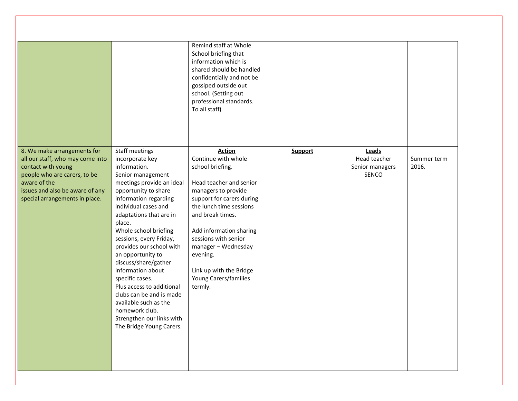|                                                                                                                                                                                                            |                                                                                                                                                                                                                                                                                                                                                                                                                                                                                                                                                     | Remind staff at Whole<br>School briefing that<br>information which is<br>shared should be handled<br>confidentially and not be<br>gossiped outside out<br>school. (Setting out<br>professional standards.<br>To all staff)                                                                                                                  |                |                                                   |                      |
|------------------------------------------------------------------------------------------------------------------------------------------------------------------------------------------------------------|-----------------------------------------------------------------------------------------------------------------------------------------------------------------------------------------------------------------------------------------------------------------------------------------------------------------------------------------------------------------------------------------------------------------------------------------------------------------------------------------------------------------------------------------------------|---------------------------------------------------------------------------------------------------------------------------------------------------------------------------------------------------------------------------------------------------------------------------------------------------------------------------------------------|----------------|---------------------------------------------------|----------------------|
| 8. We make arrangements for<br>all our staff, who may come into<br>contact with young<br>people who are carers, to be<br>aware of the<br>issues and also be aware of any<br>special arrangements in place. | Staff meetings<br>incorporate key<br>information.<br>Senior management<br>meetings provide an ideal<br>opportunity to share<br>information regarding<br>individual cases and<br>adaptations that are in<br>place.<br>Whole school briefing<br>sessions, every Friday,<br>provides our school with<br>an opportunity to<br>discuss/share/gather<br>information about<br>specific cases.<br>Plus access to additional<br>clubs can be and is made<br>available such as the<br>homework club.<br>Strengthen our links with<br>The Bridge Young Carers. | <b>Action</b><br>Continue with whole<br>school briefing.<br>Head teacher and senior<br>managers to provide<br>support for carers during<br>the lunch time sessions<br>and break times.<br>Add information sharing<br>sessions with senior<br>manager - Wednesday<br>evening.<br>Link up with the Bridge<br>Young Carers/families<br>termly. | <b>Support</b> | Leads<br>Head teacher<br>Senior managers<br>SENCO | Summer term<br>2016. |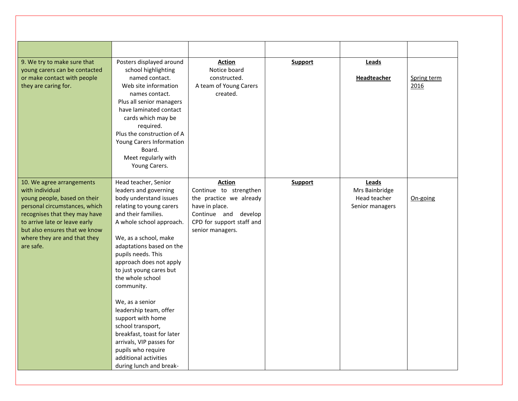| 9. We try to make sure that<br>young carers can be contacted<br>or make contact with people<br>they are caring for.                                                                                                                                           | Posters displayed around<br>school highlighting<br>named contact.<br>Web site information<br>names contact.<br>Plus all senior managers<br>have laminated contact<br>cards which may be<br>required.<br>Plus the construction of A<br>Young Carers Information<br>Board.<br>Meet regularly with<br>Young Carers.                                                                                                                                                                                                                                     | <b>Action</b><br>Notice board<br>constructed.<br>A team of Young Carers<br>created.                                                                           | <b>Support</b> | Leads<br>Headteacher                                       | Spring term<br>2016 |
|---------------------------------------------------------------------------------------------------------------------------------------------------------------------------------------------------------------------------------------------------------------|------------------------------------------------------------------------------------------------------------------------------------------------------------------------------------------------------------------------------------------------------------------------------------------------------------------------------------------------------------------------------------------------------------------------------------------------------------------------------------------------------------------------------------------------------|---------------------------------------------------------------------------------------------------------------------------------------------------------------|----------------|------------------------------------------------------------|---------------------|
| 10. We agree arrangements<br>with individual<br>young people, based on their<br>personal circumstances, which<br>recognises that they may have<br>to arrive late or leave early<br>but also ensures that we know<br>where they are and that they<br>are safe. | Head teacher, Senior<br>leaders and governing<br>body understand issues<br>relating to young carers<br>and their families.<br>A whole school approach.<br>We, as a school, make<br>adaptations based on the<br>pupils needs. This<br>approach does not apply<br>to just young cares but<br>the whole school<br>community.<br>We, as a senior<br>leadership team, offer<br>support with home<br>school transport,<br>breakfast, toast for later<br>arrivals, VIP passes for<br>pupils who require<br>additional activities<br>during lunch and break- | <b>Action</b><br>Continue to strengthen<br>the practice we already<br>have in place.<br>Continue and develop<br>CPD for support staff and<br>senior managers. | Support        | Leads<br>Mrs Bainbridge<br>Head teacher<br>Senior managers | On-going            |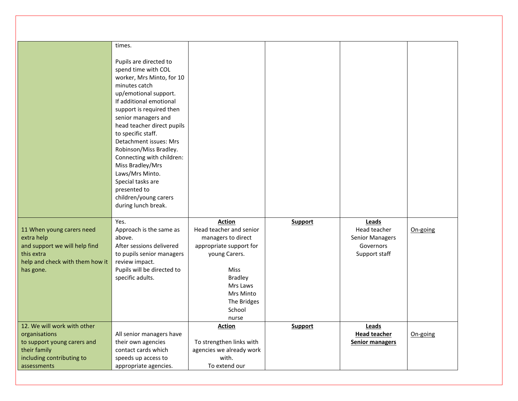|                                                                                                                                        | times.<br>Pupils are directed to<br>spend time with COL<br>worker, Mrs Minto, for 10<br>minutes catch<br>up/emotional support.<br>If additional emotional<br>support is required then<br>senior managers and<br>head teacher direct pupils<br>to specific staff.<br>Detachment issues: Mrs<br>Robinson/Miss Bradley.<br>Connecting with children:<br>Miss Bradley/Mrs<br>Laws/Mrs Minto.<br>Special tasks are<br>presented to<br>children/young carers<br>during lunch break. |                                                                                                                                                                                                        |                |                                                                               |          |
|----------------------------------------------------------------------------------------------------------------------------------------|-------------------------------------------------------------------------------------------------------------------------------------------------------------------------------------------------------------------------------------------------------------------------------------------------------------------------------------------------------------------------------------------------------------------------------------------------------------------------------|--------------------------------------------------------------------------------------------------------------------------------------------------------------------------------------------------------|----------------|-------------------------------------------------------------------------------|----------|
| 11 When young carers need<br>extra help<br>and support we will help find<br>this extra<br>help and check with them how it<br>has gone. | Yes.<br>Approach is the same as<br>above.<br>After sessions delivered<br>to pupils senior managers<br>review impact.<br>Pupils will be directed to<br>specific adults.                                                                                                                                                                                                                                                                                                        | <b>Action</b><br>Head teacher and senior<br>managers to direct<br>appropriate support for<br>young Carers.<br><b>Miss</b><br><b>Bradley</b><br>Mrs Laws<br>Mrs Minto<br>The Bridges<br>School<br>nurse | <b>Support</b> | Leads<br>Head teacher<br><b>Senior Managers</b><br>Governors<br>Support staff | On-going |
| 12. We will work with other                                                                                                            |                                                                                                                                                                                                                                                                                                                                                                                                                                                                               | <b>Action</b>                                                                                                                                                                                          | <b>Support</b> | <b>Leads</b>                                                                  |          |
| organisations                                                                                                                          | All senior managers have                                                                                                                                                                                                                                                                                                                                                                                                                                                      |                                                                                                                                                                                                        |                | <b>Head teacher</b>                                                           | On-going |
| to support young carers and                                                                                                            | their own agencies                                                                                                                                                                                                                                                                                                                                                                                                                                                            | To strengthen links with                                                                                                                                                                               |                | <b>Senior managers</b>                                                        |          |
| their family                                                                                                                           | contact cards which                                                                                                                                                                                                                                                                                                                                                                                                                                                           | agencies we already work                                                                                                                                                                               |                |                                                                               |          |
| including contributing to                                                                                                              | speeds up access to                                                                                                                                                                                                                                                                                                                                                                                                                                                           | with.                                                                                                                                                                                                  |                |                                                                               |          |
| assessments                                                                                                                            | appropriate agencies.                                                                                                                                                                                                                                                                                                                                                                                                                                                         | To extend our                                                                                                                                                                                          |                |                                                                               |          |